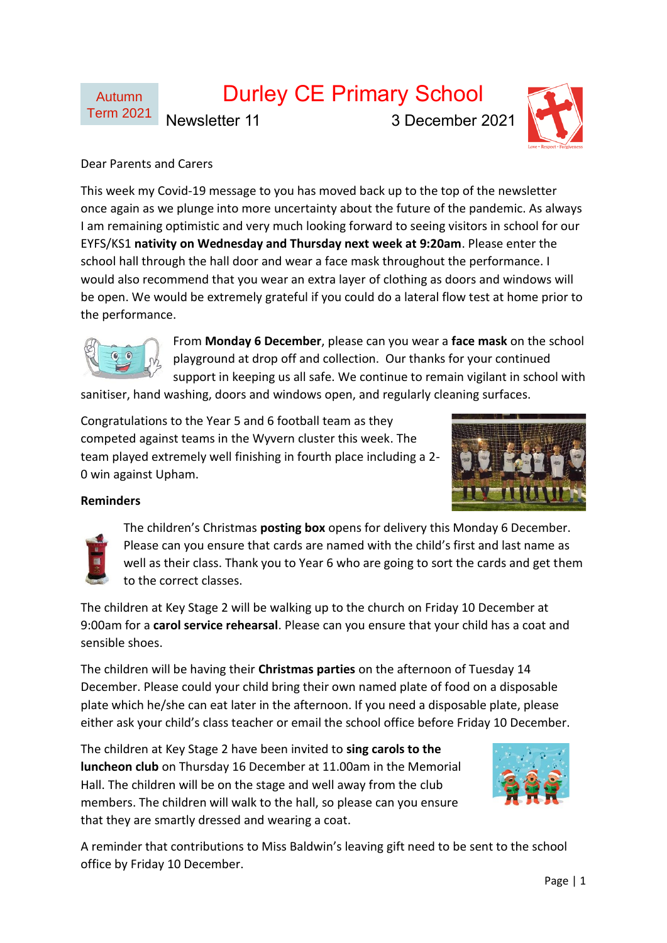

# Durley CE Primary School

Newsletter 11 3 December 2021



## Dear Parents and Carers

This week my Covid-19 message to you has moved back up to the top of the newsletter once again as we plunge into more uncertainty about the future of the pandemic. As always I am remaining optimistic and very much looking forward to seeing visitors in school for our EYFS/KS1 **nativity on Wednesday and Thursday next week at 9:20am**. Please enter the school hall through the hall door and wear a face mask throughout the performance. I would also recommend that you wear an extra layer of clothing as doors and windows will be open. We would be extremely grateful if you could do a lateral flow test at home prior to the performance.



From **Monday 6 December**, please can you wear a **face mask** on the school playground at drop off and collection. Our thanks for your continued support in keeping us all safe. We continue to remain vigilant in school with

sanitiser, hand washing, doors and windows open, and regularly cleaning surfaces.

Congratulations to the Year 5 and 6 football team as they competed against teams in the Wyvern cluster this week. The team played extremely well finishing in fourth place including a 2- 0 win against Upham.



## **Reminders**

The children's Christmas **posting box** opens for delivery this Monday 6 December. Please can you ensure that cards are named with the child's first and last name as well as their class. Thank you to Year 6 who are going to sort the cards and get them to the correct classes.

The children at Key Stage 2 will be walking up to the church on Friday 10 December at 9:00am for a **carol service rehearsal**. Please can you ensure that your child has a coat and sensible shoes.

The children will be having their **Christmas parties** on the afternoon of Tuesday 14 December. Please could your child bring their own named plate of food on a disposable plate which he/she can eat later in the afternoon. If you need a disposable plate, please either ask your child's class teacher or email the school office before Friday 10 December.

The children at Key Stage 2 have been invited to **sing carols to the luncheon club** on Thursday 16 December at 11.00am in the Memorial Hall. The children will be on the stage and well away from the club members. The children will walk to the hall, so please can you ensure that they are smartly dressed and wearing a coat.



A reminder that contributions to Miss Baldwin's leaving gift need to be sent to the school office by Friday 10 December.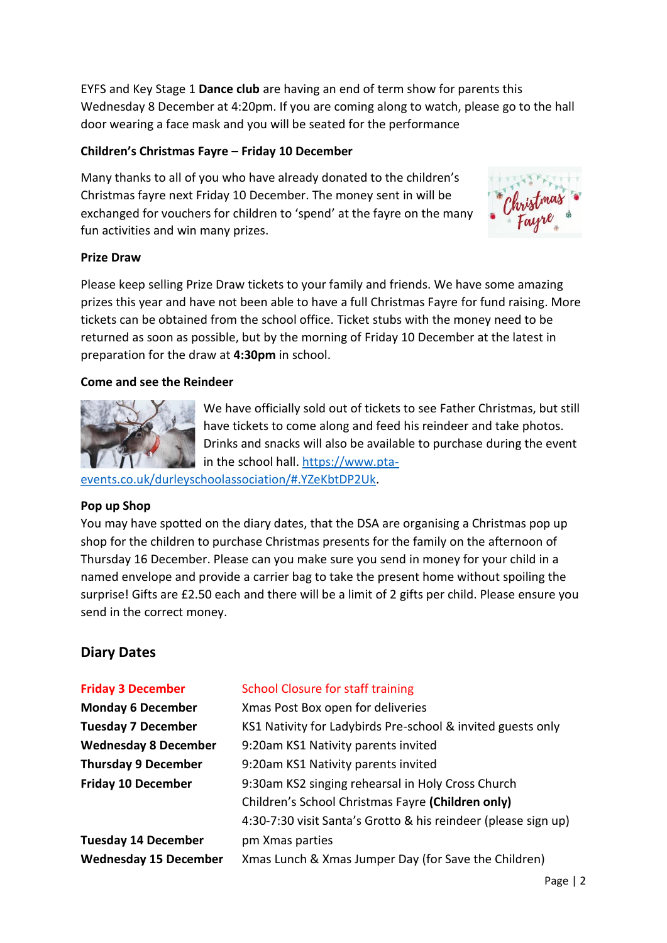EYFS and Key Stage 1 **Dance club** are having an end of term show for parents this Wednesday 8 December at 4:20pm. If you are coming along to watch, please go to the hall door wearing a face mask and you will be seated for the performance

### **Children's Christmas Fayre – Friday 10 December**

Many thanks to all of you who have already donated to the children's Christmas fayre next Friday 10 December. The money sent in will be exchanged for vouchers for children to 'spend' at the fayre on the many fun activities and win many prizes.



#### **Prize Draw**

Please keep selling Prize Draw tickets to your family and friends. We have some amazing prizes this year and have not been able to have a full Christmas Fayre for fund raising. More tickets can be obtained from the school office. Ticket stubs with the money need to be returned as soon as possible, but by the morning of Friday 10 December at the latest in preparation for the draw at **4:30pm** in school.

#### **Come and see the Reindeer**



We have officially sold out of tickets to see Father Christmas, but still have tickets to come along and feed his reindeer and take photos. Drinks and snacks will also be available to purchase during the event in the school hall. [https://www.pta-](https://www.pta-events.co.uk/durleyschoolassociation/#.YZeKbtDP2Uk)

[events.co.uk/durleyschoolassociation/#.YZeKbtDP2Uk.](https://www.pta-events.co.uk/durleyschoolassociation/#.YZeKbtDP2Uk)

#### **Pop up Shop**

You may have spotted on the diary dates, that the DSA are organising a Christmas pop up shop for the children to purchase Christmas presents for the family on the afternoon of Thursday 16 December. Please can you make sure you send in money for your child in a named envelope and provide a carrier bag to take the present home without spoiling the surprise! Gifts are £2.50 each and there will be a limit of 2 gifts per child. Please ensure you send in the correct money.

# **Diary Dates**

| <b>Friday 3 December</b>     | <b>School Closure for staff training</b>                       |
|------------------------------|----------------------------------------------------------------|
| <b>Monday 6 December</b>     | Xmas Post Box open for deliveries                              |
| <b>Tuesday 7 December</b>    | KS1 Nativity for Ladybirds Pre-school & invited guests only    |
| <b>Wednesday 8 December</b>  | 9:20am KS1 Nativity parents invited                            |
| <b>Thursday 9 December</b>   | 9:20am KS1 Nativity parents invited                            |
| <b>Friday 10 December</b>    | 9:30am KS2 singing rehearsal in Holy Cross Church              |
|                              | Children's School Christmas Fayre (Children only)              |
|                              | 4:30-7:30 visit Santa's Grotto & his reindeer (please sign up) |
| <b>Tuesday 14 December</b>   | pm Xmas parties                                                |
| <b>Wednesday 15 December</b> | Xmas Lunch & Xmas Jumper Day (for Save the Children)           |